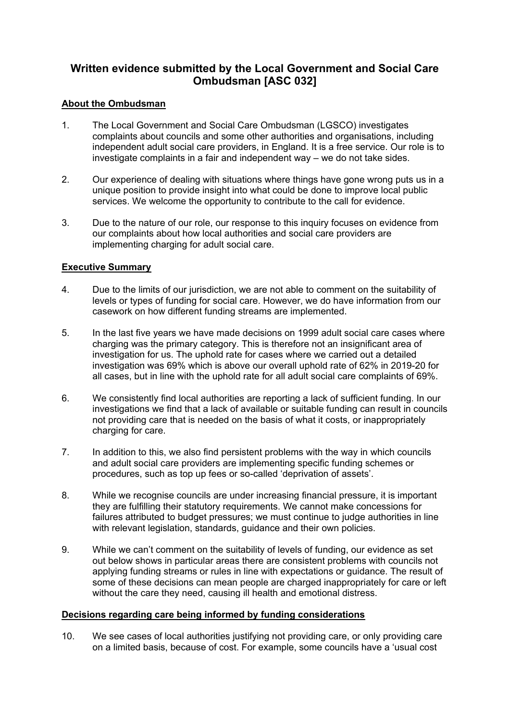# **Written evidence submitted by the Local Government and Social Care Ombudsman [ASC 032]**

### **About the Ombudsman**

- 1. The Local Government and Social Care Ombudsman (LGSCO) investigates complaints about councils and some other authorities and organisations, including independent adult social care providers, in England. It is a free service. Our role is to investigate complaints in a fair and independent way – we do not take sides.
- 2. Our experience of dealing with situations where things have gone wrong puts us in a unique position to provide insight into what could be done to improve local public services. We welcome the opportunity to contribute to the call for evidence.
- 3. Due to the nature of our role, our response to this inquiry focuses on evidence from our complaints about how local authorities and social care providers are implementing charging for adult social care.

# **Executive Summary**

- 4. Due to the limits of our jurisdiction, we are not able to comment on the suitability of levels or types of funding for social care. However, we do have information from our casework on how different funding streams are implemented.
- 5. In the last five years we have made decisions on 1999 adult social care cases where charging was the primary category. This is therefore not an insignificant area of investigation for us. The uphold rate for cases where we carried out a detailed investigation was 69% which is above our overall uphold rate of 62% in 2019-20 for all cases, but in line with the uphold rate for all adult social care complaints of 69%.
- 6. We consistently find local authorities are reporting a lack of sufficient funding. In our investigations we find that a lack of available or suitable funding can result in councils not providing care that is needed on the basis of what it costs, or inappropriately charging for care.
- 7. In addition to this, we also find persistent problems with the way in which councils and adult social care providers are implementing specific funding schemes or procedures, such as top up fees or so-called 'deprivation of assets'.
- 8. While we recognise councils are under increasing financial pressure, it is important they are fulfilling their statutory requirements. We cannot make concessions for failures attributed to budget pressures; we must continue to judge authorities in line with relevant legislation, standards, guidance and their own policies.
- 9. While we can't comment on the suitability of levels of funding, our evidence as set out below shows in particular areas there are consistent problems with councils not applying funding streams or rules in line with expectations or guidance. The result of some of these decisions can mean people are charged inappropriately for care or left without the care they need, causing ill health and emotional distress.

#### **Decisions regarding care being informed by funding considerations**

10. We see cases of local authorities justifying not providing care, or only providing care on a limited basis, because of cost. For example, some councils have a 'usual cost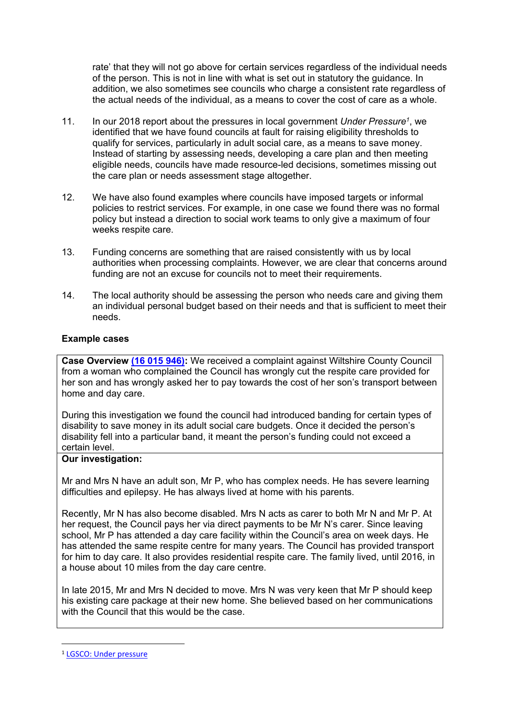rate' that they will not go above for certain services regardless of the individual needs of the person. This is not in line with what is set out in statutory the guidance. In addition, we also sometimes see councils who charge a consistent rate regardless of the actual needs of the individual, as a means to cover the cost of care as a whole.

- 11. In our 2018 report about the pressures in local government *Under Pressure<sup>1</sup>* , we identified that we have found councils at fault for raising eligibility thresholds to qualify for services, particularly in adult social care, as a means to save money. Instead of starting by assessing needs, developing a care plan and then meeting eligible needs, councils have made resource-led decisions, sometimes missing out the care plan or needs assessment stage altogether.
- 12. We have also found examples where councils have imposed targets or informal policies to restrict services. For example, in one case we found there was no formal policy but instead a direction to social work teams to only give a maximum of four weeks respite care.
- 13. Funding concerns are something that are raised consistently with us by local authorities when processing complaints. However, we are clear that concerns around funding are not an excuse for councils not to meet their requirements.
- 14. The local authority should be assessing the person who needs care and giving them an individual personal budget based on their needs and that is sufficient to meet their needs.

# **Example cases**

**Case Overview [\(16](https://www.lgo.org.uk/decisions/adult-care-services/assessment-and-care-plan/16-015-946) [015](https://www.lgo.org.uk/decisions/adult-care-services/assessment-and-care-plan/16-015-946) [946\):](https://www.lgo.org.uk/decisions/adult-care-services/assessment-and-care-plan/16-015-946)** We received a complaint against Wiltshire County Council from a woman who complained the Council has wrongly cut the respite care provided for her son and has wrongly asked her to pay towards the cost of her son's transport between home and day care.

During this investigation we found the council had introduced banding for certain types of disability to save money in its adult social care budgets. Once it decided the person's disability fell into a particular band, it meant the person's funding could not exceed a certain level.

#### **Our investigation:**

Mr and Mrs N have an adult son, Mr P, who has complex needs. He has severe learning difficulties and epilepsy. He has always lived at home with his parents.

Recently, Mr N has also become disabled. Mrs N acts as carer to both Mr N and Mr P. At her request, the Council pays her via direct payments to be Mr N's carer. Since leaving school, Mr P has attended a day care facility within the Council's area on week days. He has attended the same respite centre for many years. The Council has provided transport for him to day care. It also provides residential respite care. The family lived, until 2016, in a house about 10 miles from the day care centre.

In late 2015, Mr and Mrs N decided to move. Mrs N was very keen that Mr P should keep his existing care package at their new home. She believed based on her communications with the Council that this would be the case.

<sup>1</sup> [LGSCO:](https://www.lgo.org.uk/information-centre/news/2018/dec/councils-mustn-t-throw-out-the-rule-book-in-the-face-of-pressure-says-ombudsman) [Under](https://www.lgo.org.uk/information-centre/news/2018/dec/councils-mustn-t-throw-out-the-rule-book-in-the-face-of-pressure-says-ombudsman) [pressure](https://www.lgo.org.uk/information-centre/news/2018/dec/councils-mustn-t-throw-out-the-rule-book-in-the-face-of-pressure-says-ombudsman)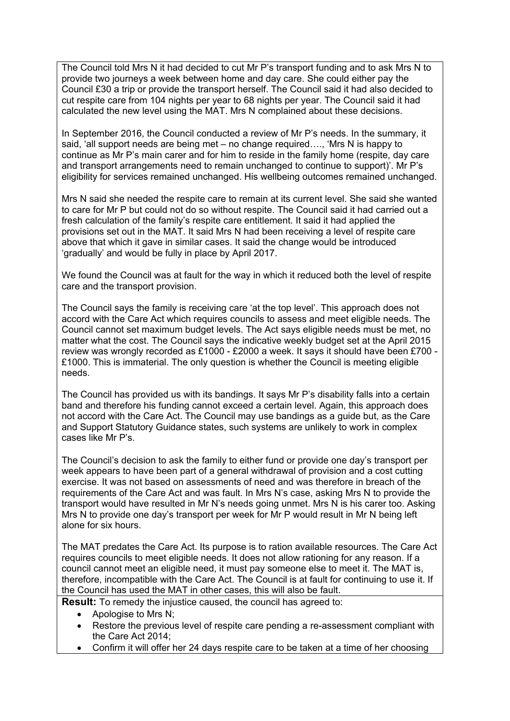The Council told Mrs N it had decided to cut Mr P's transport funding and to ask Mrs N to provide two journeys a week between home and day care. She could either pay the Council £30 a trip or provide the transport herself. The Council said it had also decided to cut respite care from 104 nights per year to 68 nights per year. The Council said it had calculated the new level using the MAT. Mrs N complained about these decisions.

In September 2016, the Council conducted a review of Mr P's needs. In the summary, it said, 'all support needs are being met – no change required…., 'Mrs N is happy to continue as Mr P's main carer and for him to reside in the family home (respite, day care and transport arrangements need to remain unchanged to continue to support)'. Mr P's eligibility for services remained unchanged. His wellbeing outcomes remained unchanged.

Mrs N said she needed the respite care to remain at its current level. She said she wanted to care for Mr P but could not do so without respite. The Council said it had carried out a fresh calculation of the family's respite care entitlement. It said it had applied the provisions set out in the MAT. It said Mrs N had been receiving a level of respite care above that which it gave in similar cases. It said the change would be introduced 'gradually' and would be fully in place by April 2017.

We found the Council was at fault for the way in which it reduced both the level of respite care and the transport provision.

The Council says the family is receiving care 'at the top level'. This approach does not accord with the Care Act which requires councils to assess and meet eligible needs. The Council cannot set maximum budget levels. The Act says eligible needs must be met, no matter what the cost. The Council says the indicative weekly budget set at the April 2015 review was wrongly recorded as £1000 - £2000 a week. It says it should have been £700 - £1000. This is immaterial. The only question is whether the Council is meeting eligible needs.

The Council has provided us with its bandings. It says Mr P's disability falls into a certain band and therefore his funding cannot exceed a certain level. Again, this approach does not accord with the Care Act. The Council may use bandings as a guide but, as the Care and Support Statutory Guidance states, such systems are unlikely to work in complex cases like Mr P's.

The Council's decision to ask the family to either fund or provide one day's transport per week appears to have been part of a general withdrawal of provision and a cost cutting exercise. It was not based on assessments of need and was therefore in breach of the requirements of the Care Act and was fault. In Mrs N's case, asking Mrs N to provide the transport would have resulted in Mr N's needs going unmet. Mrs N is his carer too. Asking Mrs N to provide one day's transport per week for Mr P would result in Mr N being left alone for six hours.

The MAT predates the Care Act. Its purpose is to ration available resources. The Care Act requires councils to meet eligible needs. It does not allow rationing for any reason. If a council cannot meet an eligible need, it must pay someone else to meet it. The MAT is, therefore, incompatible with the Care Act. The Council is at fault for continuing to use it. If the Council has used the MAT in other cases, this will also be fault.

**Result:** To remedy the injustice caused, the council has agreed to:

- Apologise to Mrs N:
- Restore the previous level of respite care pending a re-assessment compliant with the Care Act 2014;
- Confirm it will offer her 24 days respite care to be taken at a time of her choosing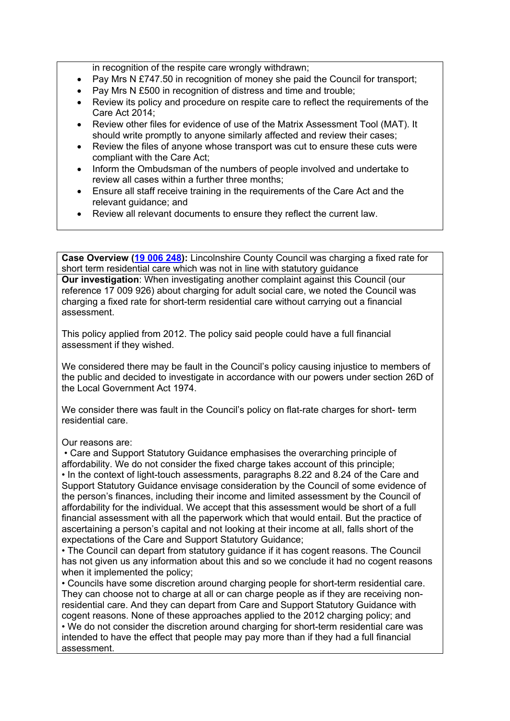in recognition of the respite care wrongly withdrawn:

- Pay Mrs N £747.50 in recognition of money she paid the Council for transport:
- Pay Mrs N £500 in recognition of distress and time and trouble;
- Review its policy and procedure on respite care to reflect the requirements of the Care Act 2014;
- Review other files for evidence of use of the Matrix Assessment Tool (MAT). It should write promptly to anyone similarly affected and review their cases;
- Review the files of anyone whose transport was cut to ensure these cuts were compliant with the Care Act;
- Inform the Ombudsman of the numbers of people involved and undertake to review all cases within a further three months;
- Ensure all staff receive training in the requirements of the Care Act and the relevant guidance; and
- Review all relevant documents to ensure they reflect the current law.

**Case Overview ([19](https://www.lgo.org.uk/decisions/adult-care-services/charging/19-006-248) [006](https://www.lgo.org.uk/decisions/adult-care-services/charging/19-006-248) [248](https://www.lgo.org.uk/decisions/adult-care-services/charging/19-006-248)):** Lincolnshire County Council was charging a fixed rate for short term residential care which was not in line with statutory guidance

**Our investigation**: When investigating another complaint against this Council (our reference 17 009 926) about charging for adult social care, we noted the Council was charging a fixed rate for short-term residential care without carrying out a financial assessment.

This policy applied from 2012. The policy said people could have a full financial assessment if they wished.

We considered there may be fault in the Council's policy causing injustice to members of the public and decided to investigate in accordance with our powers under section 26D of the Local Government Act 1974.

We consider there was fault in the Council's policy on flat-rate charges for short- term residential care.

Our reasons are:

• Care and Support Statutory Guidance emphasises the overarching principle of affordability. We do not consider the fixed charge takes account of this principle; • In the context of light-touch assessments, paragraphs 8.22 and 8.24 of the Care and Support Statutory Guidance envisage consideration by the Council of some evidence of the person's finances, including their income and limited assessment by the Council of affordability for the individual. We accept that this assessment would be short of a full financial assessment with all the paperwork which that would entail. But the practice of ascertaining a person's capital and not looking at their income at all, falls short of the expectations of the Care and Support Statutory Guidance;

• The Council can depart from statutory guidance if it has cogent reasons. The Council has not given us any information about this and so we conclude it had no cogent reasons when it implemented the policy;

• Councils have some discretion around charging people for short-term residential care. They can choose not to charge at all or can charge people as if they are receiving nonresidential care. And they can depart from Care and Support Statutory Guidance with cogent reasons. None of these approaches applied to the 2012 charging policy; and • We do not consider the discretion around charging for short-term residential care was intended to have the effect that people may pay more than if they had a full financial assessment.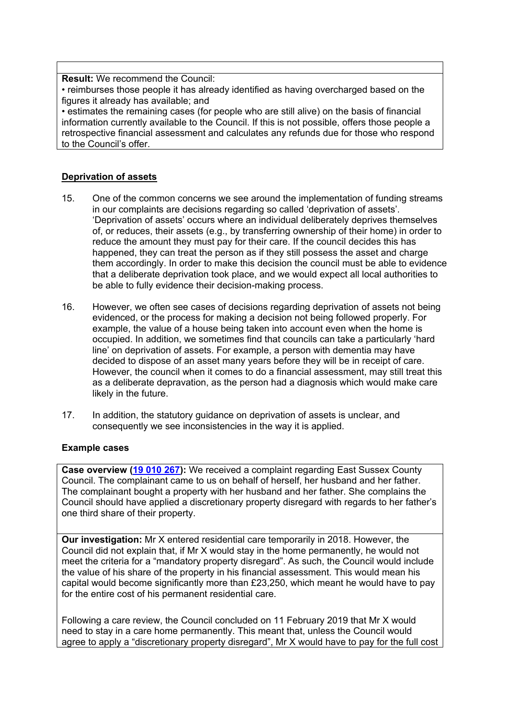**Result:** We recommend the Council:

• reimburses those people it has already identified as having overcharged based on the figures it already has available; and

• estimates the remaining cases (for people who are still alive) on the basis of financial information currently available to the Council. If this is not possible, offers those people a retrospective financial assessment and calculates any refunds due for those who respond to the Council's offer.

### **Deprivation of assets**

- 15. One of the common concerns we see around the implementation of funding streams in our complaints are decisions regarding so called 'deprivation of assets'. 'Deprivation of assets' occurs where an individual deliberately deprives themselves of, or reduces, their assets (e.g., by transferring ownership of their home) in order to reduce the amount they must pay for their care. If the council decides this has happened, they can treat the person as if they still possess the asset and charge them accordingly. In order to make this decision the council must be able to evidence that a deliberate deprivation took place, and we would expect all local authorities to be able to fully evidence their decision-making process.
- 16. However, we often see cases of decisions regarding deprivation of assets not being evidenced, or the process for making a decision not being followed properly. For example, the value of a house being taken into account even when the home is occupied. In addition, we sometimes find that councils can take a particularly 'hard line' on deprivation of assets. For example, a person with dementia may have decided to dispose of an asset many years before they will be in receipt of care. However, the council when it comes to do a financial assessment, may still treat this as a deliberate depravation, as the person had a diagnosis which would make care likely in the future.
- 17. In addition, the statutory guidance on deprivation of assets is unclear, and consequently we see inconsistencies in the way it is applied.

#### **Example cases**

**Case overview [\(19](https://www.lgo.org.uk/decisions/adult-care-services/charging/19-010-267) [010](https://www.lgo.org.uk/decisions/adult-care-services/charging/19-010-267) [267](https://www.lgo.org.uk/decisions/adult-care-services/charging/19-010-267)):** We received a complaint regarding East Sussex County Council. The complainant came to us on behalf of herself, her husband and her father. The complainant bought a property with her husband and her father. She complains the Council should have applied a discretionary property disregard with regards to her father's one third share of their property.

**Our investigation:** Mr X entered residential care temporarily in 2018. However, the Council did not explain that, if Mr X would stay in the home permanently, he would not meet the criteria for a "mandatory property disregard". As such, the Council would include the value of his share of the property in his financial assessment. This would mean his capital would become significantly more than £23,250, which meant he would have to pay for the entire cost of his permanent residential care.

Following a care review, the Council concluded on 11 February 2019 that Mr X would need to stay in a care home permanently. This meant that, unless the Council would agree to apply a "discretionary property disregard", Mr X would have to pay for the full cost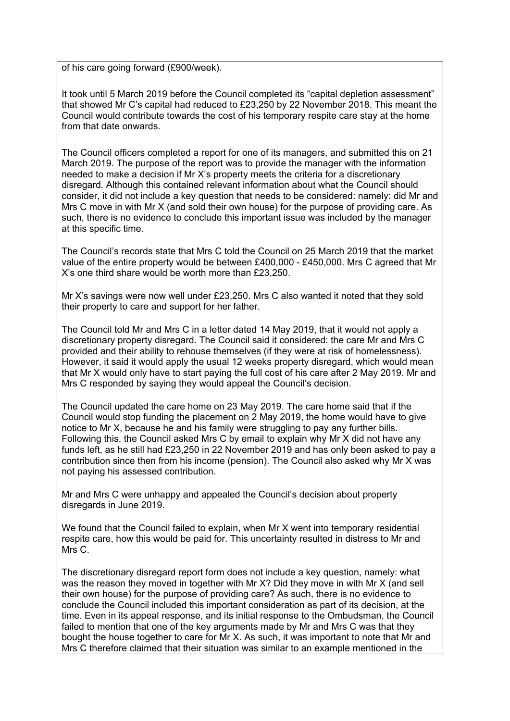of his care going forward (£900/week).

It took until 5 March 2019 before the Council completed its "capital depletion assessment" that showed Mr C's capital had reduced to £23,250 by 22 November 2018. This meant the Council would contribute towards the cost of his temporary respite care stay at the home from that date onwards.

The Council officers completed a report for one of its managers, and submitted this on 21 March 2019. The purpose of the report was to provide the manager with the information needed to make a decision if Mr X's property meets the criteria for a discretionary disregard. Although this contained relevant information about what the Council should consider, it did not include a key question that needs to be considered: namely: did Mr and Mrs C move in with Mr X (and sold their own house) for the purpose of providing care. As such, there is no evidence to conclude this important issue was included by the manager at this specific time.

The Council's records state that Mrs C told the Council on 25 March 2019 that the market value of the entire property would be between £400,000 - £450,000. Mrs C agreed that Mr X's one third share would be worth more than £23,250.

Mr X's savings were now well under £23,250. Mrs C also wanted it noted that they sold their property to care and support for her father.

The Council told Mr and Mrs C in a letter dated 14 May 2019, that it would not apply a discretionary property disregard. The Council said it considered: the care Mr and Mrs C provided and their ability to rehouse themselves (if they were at risk of homelessness). However, it said it would apply the usual 12 weeks property disregard, which would mean that Mr X would only have to start paying the full cost of his care after 2 May 2019. Mr and Mrs C responded by saying they would appeal the Council's decision.

The Council updated the care home on 23 May 2019. The care home said that if the Council would stop funding the placement on 2 May 2019, the home would have to give notice to Mr X, because he and his family were struggling to pay any further bills. Following this, the Council asked Mrs C by email to explain why Mr X did not have any funds left, as he still had £23,250 in 22 November 2019 and has only been asked to pay a contribution since then from his income (pension). The Council also asked why Mr X was not paying his assessed contribution.

Mr and Mrs C were unhappy and appealed the Council's decision about property disregards in June 2019.

We found that the Council failed to explain, when Mr X went into temporary residential respite care, how this would be paid for. This uncertainty resulted in distress to Mr and Mrs C.

The discretionary disregard report form does not include a key question, namely: what was the reason they moved in together with Mr X? Did they move in with Mr X (and sell their own house) for the purpose of providing care? As such, there is no evidence to conclude the Council included this important consideration as part of its decision, at the time. Even in its appeal response, and its initial response to the Ombudsman, the Council failed to mention that one of the key arguments made by Mr and Mrs C was that they bought the house together to care for Mr X. As such, it was important to note that Mr and Mrs C therefore claimed that their situation was similar to an example mentioned in the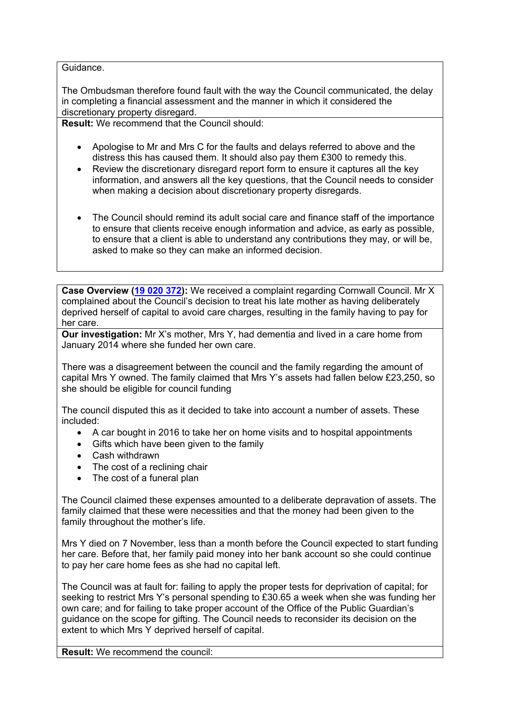#### Guidance.

The Ombudsman therefore found fault with the way the Council communicated, the delay in completing a financial assessment and the manner in which it considered the discretionary property disregard.

**Result:** We recommend that the Council should:

- Apologise to Mr and Mrs C for the faults and delays referred to above and the distress this has caused them. It should also pay them £300 to remedy this.
- Review the discretionary disregard report form to ensure it captures all the key information, and answers all the key questions, that the Council needs to consider when making a decision about discretionary property disregards.
- The Council should remind its adult social care and finance staff of the importance to ensure that clients receive enough information and advice, as early as possible, to ensure that a client is able to understand any contributions they may, or will be, asked to make so they can make an informed decision.

**Case Overview ([19](https://www.lgo.org.uk/decisions/adult-care-services/charging/19-020-372) [020](https://www.lgo.org.uk/decisions/adult-care-services/charging/19-020-372) [372](https://www.lgo.org.uk/decisions/adult-care-services/charging/19-020-372)):** We received a complaint regarding Cornwall Council. Mr X complained about the Council's decision to treat his late mother as having deliberately deprived herself of capital to avoid care charges, resulting in the family having to pay for her care.

**Our investigation:** Mr X's mother, Mrs Y, had dementia and lived in a care home from January 2014 where she funded her own care.

There was a disagreement between the council and the family regarding the amount of capital Mrs Y owned. The family claimed that Mrs Y's assets had fallen below £23,250, so she should be eligible for council funding

The council disputed this as it decided to take into account a number of assets. These included:

- A car bought in 2016 to take her on home visits and to hospital appointments
- Gifts which have been given to the family
- Cash withdrawn
- The cost of a reclining chair
- The cost of a funeral plan

The Council claimed these expenses amounted to a deliberate depravation of assets. The family claimed that these were necessities and that the money had been given to the family throughout the mother's life.

Mrs Y died on 7 November, less than a month before the Council expected to start funding her care. Before that, her family paid money into her bank account so she could continue to pay her care home fees as she had no capital left.

The Council was at fault for: failing to apply the proper tests for deprivation of capital; for seeking to restrict Mrs Y's personal spending to £30.65 a week when she was funding her own care; and for failing to take proper account of the Office of the Public Guardian's guidance on the scope for gifting. The Council needs to reconsider its decision on the extent to which Mrs Y deprived herself of capital.

**Result:** We recommend the council: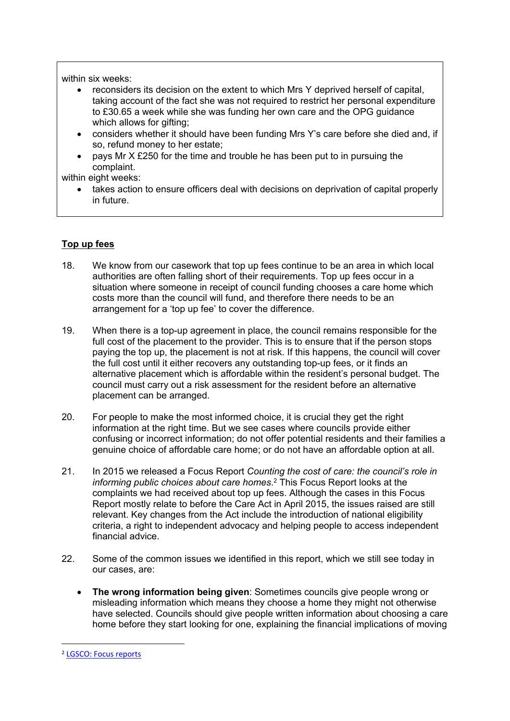#### within six weeks:

- reconsiders its decision on the extent to which Mrs Y deprived herself of capital, taking account of the fact she was not required to restrict her personal expenditure to £30.65 a week while she was funding her own care and the OPG guidance which allows for gifting:
- considers whether it should have been funding Mrs Y's care before she died and, if so, refund money to her estate;
- pays Mr X £250 for the time and trouble he has been put to in pursuing the complaint.

within eight weeks:

 takes action to ensure officers deal with decisions on deprivation of capital properly in future.

# **Top up fees**

- 18. We know from our casework that top up fees continue to be an area in which local authorities are often falling short of their requirements. Top up fees occur in a situation where someone in receipt of council funding chooses a care home which costs more than the council will fund, and therefore there needs to be an arrangement for a 'top up fee' to cover the difference.
- 19. When there is a top-up agreement in place, the council remains responsible for the full cost of the placement to the provider. This is to ensure that if the person stops paying the top up, the placement is not at risk. If this happens, the council will cover the full cost until it either recovers any outstanding top-up fees, or it finds an alternative placement which is affordable within the resident's personal budget. The council must carry out a risk assessment for the resident before an alternative placement can be arranged.
- 20. For people to make the most informed choice, it is crucial they get the right information at the right time. But we see cases where councils provide either confusing or incorrect information; do not offer potential residents and their families a genuine choice of affordable care home; or do not have an affordable option at all.
- 21. In 2015 we released a Focus Report *Counting the cost of care: the council's role in informing public choices about care homes*. <sup>2</sup> This Focus Report looks at the complaints we had received about top up fees. Although the cases in this Focus Report mostly relate to before the Care Act in April 2015, the issues raised are still relevant. Key changes from the Act include the introduction of national eligibility criteria, a right to independent advocacy and helping people to access independent financial advice.
- 22. Some of the common issues we identified in this report, which we still see today in our cases, are:
	- **The wrong information being given**: Sometimes councils give people wrong or misleading information which means they choose a home they might not otherwise have selected. Councils should give people written information about choosing a care home before they start looking for one, explaining the financial implications of moving

<sup>2</sup> [LGSCO:](https://www.lgo.org.uk/information-centre/reports/focus-reports) [Focus](https://www.lgo.org.uk/information-centre/reports/focus-reports) [reports](https://www.lgo.org.uk/information-centre/reports/focus-reports)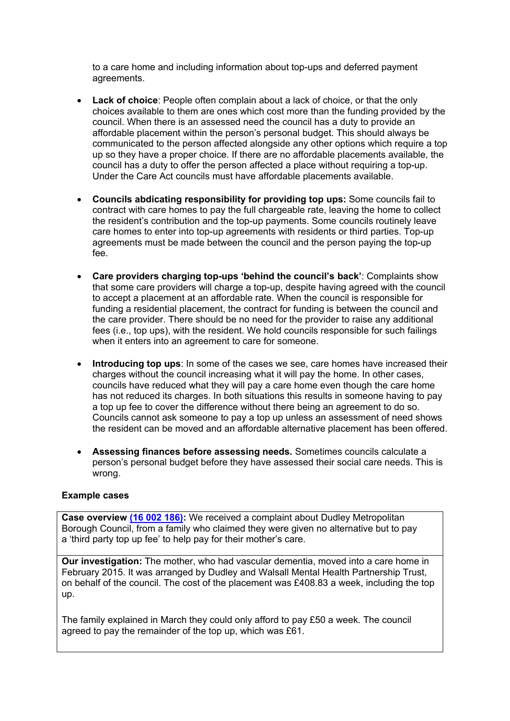to a care home and including information about top-ups and deferred payment agreements.

- **Lack of choice**: People often complain about a lack of choice, or that the only choices available to them are ones which cost more than the funding provided by the council. When there is an assessed need the council has a duty to provide an affordable placement within the person's personal budget. This should always be communicated to the person affected alongside any other options which require a top up so they have a proper choice. If there are no affordable placements available, the council has a duty to offer the person affected a place without requiring a top-up. Under the Care Act councils must have affordable placements available.
- **Councils abdicating responsibility for providing top ups:** Some councils fail to contract with care homes to pay the full chargeable rate, leaving the home to collect the resident's contribution and the top-up payments. Some councils routinely leave care homes to enter into top-up agreements with residents or third parties. Top-up agreements must be made between the council and the person paying the top-up fee.
- **Care providers charging top-ups 'behind the council's back'**: Complaints show that some care providers will charge a top-up, despite having agreed with the council to accept a placement at an affordable rate. When the council is responsible for funding a residential placement, the contract for funding is between the council and the care provider. There should be no need for the provider to raise any additional fees (i.e., top ups), with the resident. We hold councils responsible for such failings when it enters into an agreement to care for someone.
- **Introducing top ups**: In some of the cases we see, care homes have increased their charges without the council increasing what it will pay the home. In other cases, councils have reduced what they will pay a care home even though the care home has not reduced its charges. In both situations this results in someone having to pay a top up fee to cover the difference without there being an agreement to do so. Councils cannot ask someone to pay a top up unless an assessment of need shows the resident can be moved and an affordable alternative placement has been offered.
- **Assessing finances before assessing needs.** Sometimes councils calculate a person's personal budget before they have assessed their social care needs. This is wrong.

#### **Example cases**

**Case overview [\(16](https://www.lgo.org.uk/information-centre/news/2017/jun/ombudsman-finds-systemic-fault-in-council-s-charging-policy-for-dudley-care-homes) [002](https://www.lgo.org.uk/information-centre/news/2017/jun/ombudsman-finds-systemic-fault-in-council-s-charging-policy-for-dudley-care-homes) [186\):](https://www.lgo.org.uk/information-centre/news/2017/jun/ombudsman-finds-systemic-fault-in-council-s-charging-policy-for-dudley-care-homes)** We received a complaint about Dudley Metropolitan Borough Council, from a family who claimed they were given no alternative but to pay a 'third party top up fee' to help pay for their mother's care.

**Our investigation:** The mother, who had vascular dementia, moved into a care home in February 2015. It was arranged by Dudley and Walsall Mental Health Partnership Trust, on behalf of the council. The cost of the placement was £408.83 a week, including the top up.

The family explained in March they could only afford to pay £50 a week. The council agreed to pay the remainder of the top up, which was £61.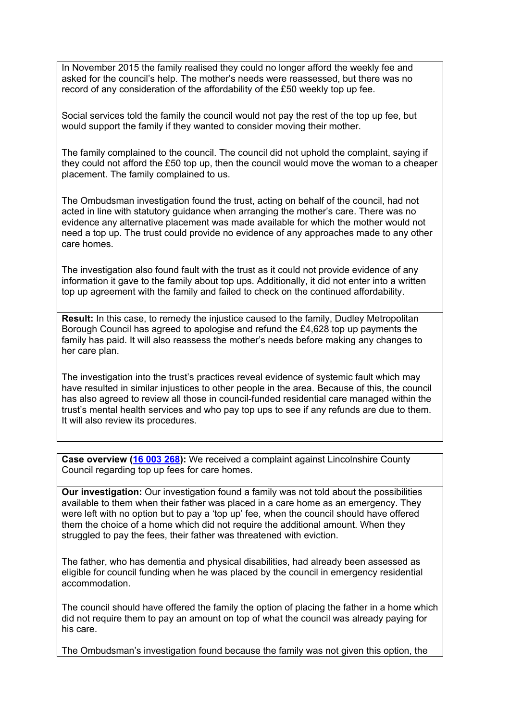In November 2015 the family realised they could no longer afford the weekly fee and asked for the council's help. The mother's needs were reassessed, but there was no record of any consideration of the affordability of the £50 weekly top up fee.

Social services told the family the council would not pay the rest of the top up fee, but would support the family if they wanted to consider moving their mother.

The family complained to the council. The council did not uphold the complaint, saying if they could not afford the £50 top up, then the council would move the woman to a cheaper placement. The family complained to us.

The Ombudsman investigation found the trust, acting on behalf of the council, had not acted in line with statutory guidance when arranging the mother's care. There was no evidence any alternative placement was made available for which the mother would not need a top up. The trust could provide no evidence of any approaches made to any other care homes.

The investigation also found fault with the trust as it could not provide evidence of any information it gave to the family about top ups. Additionally, it did not enter into a written top up agreement with the family and failed to check on the continued affordability.

**Result:** In this case, to remedy the injustice caused to the family, Dudley Metropolitan Borough Council has agreed to apologise and refund the £4,628 top up payments the family has paid. It will also reassess the mother's needs before making any changes to her care plan.

The investigation into the trust's practices reveal evidence of systemic fault which may have resulted in similar injustices to other people in the area. Because of this, the council has also agreed to review all those in council-funded residential care managed within the trust's mental health services and who pay top ups to see if any refunds are due to them. It will also review its procedures.

**Case overview [\(16](https://www.lgo.org.uk/information-centre/news/2018/jan/ombudsman-calls-for-councils-to-be-clear-on-care-home-costs) [003](https://www.lgo.org.uk/information-centre/news/2018/jan/ombudsman-calls-for-councils-to-be-clear-on-care-home-costs) [268](https://www.lgo.org.uk/information-centre/news/2018/jan/ombudsman-calls-for-councils-to-be-clear-on-care-home-costs)):** We received a complaint against Lincolnshire County Council regarding top up fees for care homes.

**Our investigation:** Our investigation found a family was not told about the possibilities available to them when their father was placed in a care home as an emergency. They were left with no option but to pay a 'top up' fee, when the council should have offered them the choice of a home which did not require the additional amount. When they struggled to pay the fees, their father was threatened with eviction.

The father, who has dementia and physical disabilities, had already been assessed as eligible for council funding when he was placed by the council in emergency residential accommodation.

The council should have offered the family the option of placing the father in a home which did not require them to pay an amount on top of what the council was already paying for his care.

The Ombudsman's investigation found because the family was not given this option, the